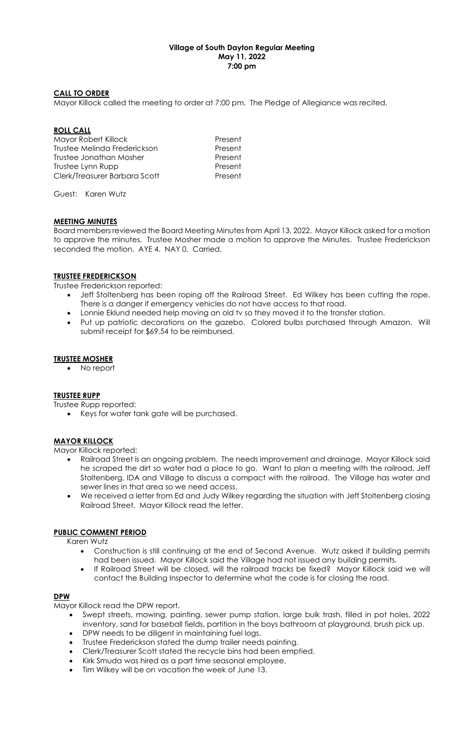## Village of South Dayton Regular Meeting May 11, 2022 7:00 pm

### CALL TO ORDER

Mayor Killock called the meeting to order at 7:00 pm. The Pledge of Allegiance was recited.

### ROLL CALL

Mayor Robert Killock **Present** Trustee Melinda Frederickson Present Trustee Jonathan Mosher **Present** Trustee Lynn Rupp Present Clerk/Treasurer Barbara Scott Present

Guest: Karen Wutz

## MEETING MINUTES

Board members reviewed the Board Meeting Minutes from April 13, 2022. Mayor Killock asked for a motion to approve the minutes. Trustee Mosher made a motion to approve the Minutes. Trustee Frederickson seconded the motion. AYE 4. NAY 0. Carried.

### TRUSTEE FREDERICKSON

Trustee Frederickson reported:

- Jeff Stoltenberg has been roping off the Railroad Street. Ed Wilkey has been cutting the rope. There is a danger if emergency vehicles do not have access to that road.
- Lonnie Eklund needed help moving an old tv so they moved it to the transfer station.
- Put up patriotic decorations on the gazebo. Colored bulbs purchased through Amazon. Will submit receipt for \$69.54 to be reimbursed.

### TRUSTEE MOSHER

No report

#### TRUSTEE RUPP

Trustee Rupp reported:

• Keys for water tank gate will be purchased.

## **MAYOR KILLOCK**

Mayor Killock reported:

- Railroad Street is an ongoing problem. The needs improvement and drainage. Mayor Killock said he scraped the dirt so water had a place to go. Want to plan a meeting with the railroad, Jeff Stoltenberg, IDA and Village to discuss a compact with the railroad. The Village has water and sewer lines in that area so we need access.
- We received a letter from Ed and Judy Wilkey regarding the situation with Jeff Stoltenberg closing Railroad Street. Mayor Killock read the letter.

# PUBLIC COMMENT PERIOD

Karen Wutz

- Construction is still continuing at the end of Second Avenue. Wutz asked if building permits had been issued. Mayor Killock said the Village had not issued any building permits.
- If Railroad Street will be closed, will the railroad tracks be fixed? Mayor Killock said we will contact the Building Inspector to determine what the code is for closing the road.

## DPW

Mayor Killock read the DPW report.

- Swept streets, mowing, painting, sewer pump station, large bulk trash, filled in pot holes, 2022 inventory, sand for baseball fields, partition in the boys bathroom at playground, brush pick up.
- DPW needs to be diligent in maintaining fuel logs.
- Trustee Frederickson stated the dump trailer needs painting.
- Clerk/Treasurer Scott stated the recycle bins had been emptied.
- Kirk Smuda was hired as a part time seasonal employee.
- Tim Wilkey will be on vacation the week of June 13.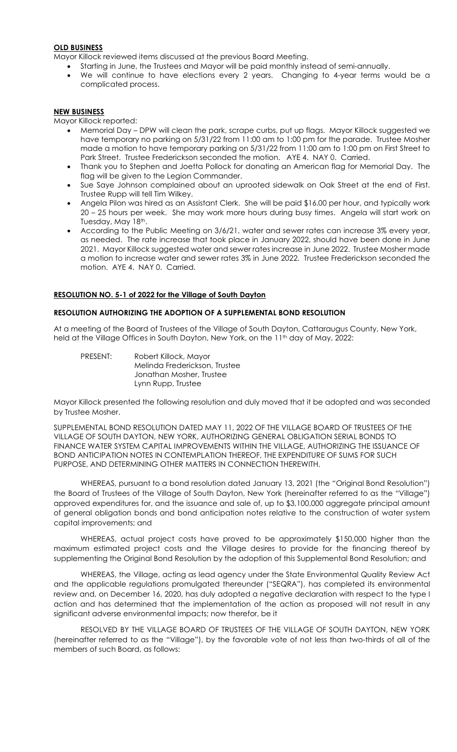## OLD BUSINESS

Mayor Killock reviewed items discussed at the previous Board Meeting.

- Starting in June, the Trustees and Mayor will be paid monthly instead of semi-annually.
- We will continue to have elections every 2 years. Changing to 4-year terms would be a complicated process.

### NEW BUSINESS

Mayor Killock reported:

- Memorial Day DPW will clean the park, scrape curbs, put up flags. Mayor Killock suggested we have temporary no parking on 5/31/22 from 11:00 am to 1:00 pm for the parade. Trustee Mosher made a motion to have temporary parking on 5/31/22 from 11:00 am to 1:00 pm on First Street to Park Street. Trustee Frederickson seconded the motion. AYE 4. NAY 0. Carried.
- Thank you to Stephen and Joetta Pollock for donating an American flag for Memorial Day. The flag will be given to the Legion Commander.
- Sue Saye Johnson complained about an uprooted sidewalk on Oak Street at the end of First. Trustee Rupp will tell Tim Wilkey.
- Angela Pilon was hired as an Assistant Clerk. She will be paid \$16.00 per hour, and typically work 20 – 25 hours per week. She may work more hours during busy times. Angela will start work on Tuesday, May 18th.
- According to the Public Meeting on 3/6/21, water and sewer rates can increase 3% every year, as needed. The rate increase that took place in January 2022, should have been done in June 2021. Mayor Killock suggested water and sewer rates increase in June 2022. Trustee Mosher made a motion to increase water and sewer rates 3% in June 2022. Trustee Frederickson seconded the motion. AYE 4. NAY 0. Carried.

## RESOLUTION NO. 5-1 of 2022 for the Village of South Dayton

### RESOLUTION AUTHORIZING THE ADOPTION OF A SUPPLEMENTAL BOND RESOLUTION

At a meeting of the Board of Trustees of the Village of South Dayton, Cattaraugus County, New York, held at the Village Offices in South Dayton, New York, on the 11<sup>th</sup> day of May, 2022:

 PRESENT: Robert Killock, Mayor Melinda Frederickson, Trustee Jonathan Mosher, Trustee Lynn Rupp, Trustee

Mayor Killock presented the following resolution and duly moved that it be adopted and was seconded by Trustee Mosher.

SUPPLEMENTAL BOND RESOLUTION DATED MAY 11, 2022 OF THE VILLAGE BOARD OF TRUSTEES OF THE VILLAGE OF SOUTH DAYTON, NEW YORK, AUTHORIZING GENERAL OBLIGATION SERIAL BONDS TO FINANCE WATER SYSTEM CAPITAL IMPROVEMENTS WITHIN THE VILLAGE, AUTHORIZING THE ISSUANCE OF BOND ANTICIPATION NOTES IN CONTEMPLATION THEREOF, THE EXPENDITURE OF SUMS FOR SUCH PURPOSE, AND DETERMINING OTHER MATTERS IN CONNECTION THEREWITH.

WHEREAS, pursuant to a bond resolution dated January 13, 2021 (the "Original Bond Resolution") the Board of Trustees of the Village of South Dayton, New York (hereinafter referred to as the "Village") approved expenditures for, and the issuance and sale of, up to \$3,100,000 aggregate principal amount of general obligation bonds and bond anticipation notes relative to the construction of water system capital improvements; and

WHEREAS, actual project costs have proved to be approximately \$150,000 higher than the maximum estimated project costs and the Village desires to provide for the financing thereof by supplementing the Original Bond Resolution by the adoption of this Supplemental Bond Resolution; and

WHEREAS, the Village, acting as lead agency under the State Environmental Quality Review Act and the applicable regulations promulgated thereunder ("SEQRA"), has completed its environmental review and, on December 16, 2020, has duly adopted a negative declaration with respect to the type I action and has determined that the implementation of the action as proposed will not result in any significant adverse environmental impacts; now therefor, be it

RESOLVED BY THE VILLAGE BOARD OF TRUSTEES OF THE VILLAGE OF SOUTH DAYTON, NEW YORK (hereinafter referred to as the "Village"), by the favorable vote of not less than two-thirds of all of the members of such Board, as follows: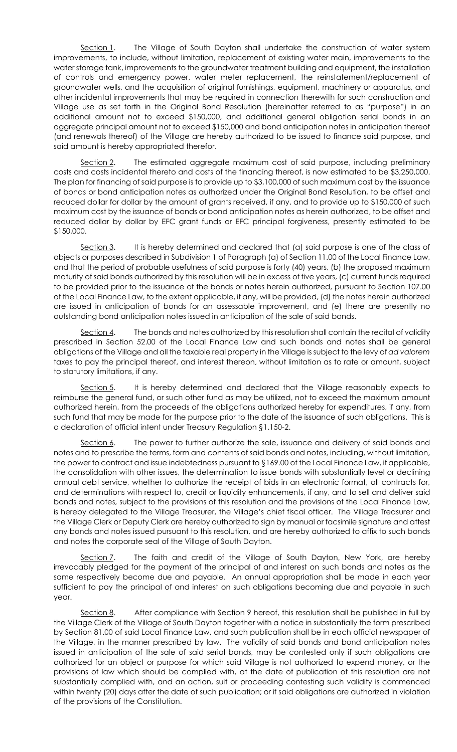Section 1. The Village of South Dayton shall undertake the construction of water system improvements, to include, without limitation, replacement of existing water main, improvements to the water storage tank, improvements to the groundwater treatment building and equipment, the installation of controls and emergency power, water meter replacement, the reinstatement/replacement of groundwater wells, and the acquisition of original furnishings, equipment, machinery or apparatus, and other incidental improvements that may be required in connection therewith for such construction and Village use as set forth in the Original Bond Resolution (hereinafter referred to as "purpose") in an additional amount not to exceed \$150,000, and additional general obligation serial bonds in an aggregate principal amount not to exceed \$150,000 and bond anticipation notes in anticipation thereof (and renewals thereof) of the Village are hereby authorized to be issued to finance said purpose, and said amount is hereby appropriated therefor.

Section 2. The estimated aggregate maximum cost of said purpose, including preliminary costs and costs incidental thereto and costs of the financing thereof, is now estimated to be \$3,250,000. The plan for financing of said purpose is to provide up to \$3,100,000 of such maximum cost by the issuance of bonds or bond anticipation notes as authorized under the Original Bond Resolution, to be offset and reduced dollar for dollar by the amount of grants received, if any, and to provide up to \$150,000 of such maximum cost by the issuance of bonds or bond anticipation notes as herein authorized, to be offset and reduced dollar by dollar by EFC grant funds or EFC principal forgiveness, presently estimated to be \$150,000.

Section 3. It is hereby determined and declared that (a) said purpose is one of the class of objects or purposes described in Subdivision 1 of Paragraph (a) of Section 11.00 of the Local Finance Law, and that the period of probable usefulness of said purpose is forty (40) years, (b) the proposed maximum maturity of said bonds authorized by this resolution will be in excess of five years, (c) current funds required to be provided prior to the issuance of the bonds or notes herein authorized, pursuant to Section 107.00 of the Local Finance Law, to the extent applicable, if any, will be provided, (d) the notes herein authorized are issued in anticipation of bonds for an assessable improvement, and (e) there are presently no outstanding bond anticipation notes issued in anticipation of the sale of said bonds.

Section 4. The bonds and notes authorized by this resolution shall contain the recital of validity prescribed in Section 52.00 of the Local Finance Law and such bonds and notes shall be general obligations of the Village and all the taxable real property in the Village is subject to the levy of ad valorem taxes to pay the principal thereof, and interest thereon, without limitation as to rate or amount, subject to statutory limitations, if any.

Section 5. It is hereby determined and declared that the Village reasonably expects to reimburse the general fund, or such other fund as may be utilized, not to exceed the maximum amount authorized herein, from the proceeds of the obligations authorized hereby for expenditures, if any, from such fund that may be made for the purpose prior to the date of the issuance of such obligations. This is a declaration of official intent under Treasury Regulation §1.150-2.

Section 6. The power to further authorize the sale, issuance and delivery of said bonds and notes and to prescribe the terms, form and contents of said bonds and notes, including, without limitation, the power to contract and issue indebtedness pursuant to §169.00 of the Local Finance Law, if applicable, the consolidation with other issues, the determination to issue bonds with substantially level or declining annual debt service, whether to authorize the receipt of bids in an electronic format, all contracts for, and determinations with respect to, credit or liquidity enhancements, if any, and to sell and deliver said bonds and notes, subject to the provisions of this resolution and the provisions of the Local Finance Law, is hereby delegated to the Village Treasurer, the Village's chief fiscal officer. The Village Treasurer and the Village Clerk or Deputy Clerk are hereby authorized to sign by manual or facsimile signature and attest any bonds and notes issued pursuant to this resolution, and are hereby authorized to affix to such bonds and notes the corporate seal of the Village of South Dayton.

Section 7. The faith and credit of the Village of South Dayton, New York, are hereby irrevocably pledged for the payment of the principal of and interest on such bonds and notes as the same respectively become due and payable. An annual appropriation shall be made in each year sufficient to pay the principal of and interest on such obligations becoming due and payable in such year.

Section 8. After compliance with Section 9 hereof, this resolution shall be published in full by the Village Clerk of the Village of South Dayton together with a notice in substantially the form prescribed by Section 81.00 of said Local Finance Law, and such publication shall be in each official newspaper of the Village, in the manner prescribed by law. The validity of said bonds and bond anticipation notes issued in anticipation of the sale of said serial bonds, may be contested only if such obligations are authorized for an object or purpose for which said Village is not authorized to expend money, or the provisions of law which should be complied with, at the date of publication of this resolution are not substantially complied with, and an action, suit or proceeding contesting such validity is commenced within twenty (20) days after the date of such publication; or if said obligations are authorized in violation of the provisions of the Constitution.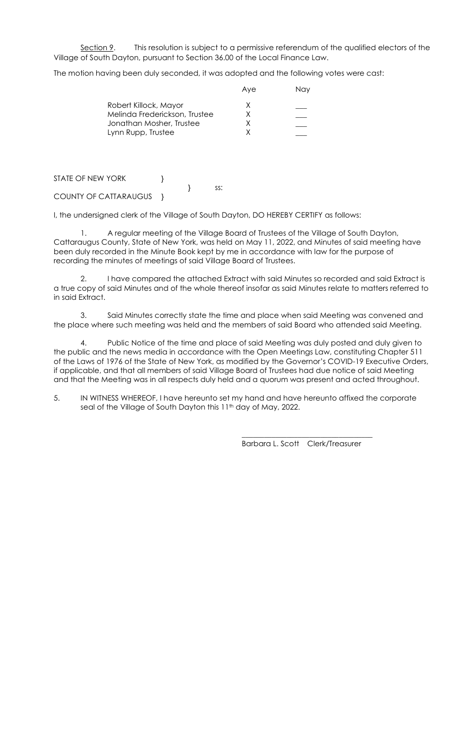Section 9. This resolution is subject to a permissive referendum of the qualified electors of the Village of South Dayton, pursuant to Section 36.00 of the Local Finance Law.

The motion having been duly seconded, it was adopted and the following votes were cast:

|                               | Ave | Nav |
|-------------------------------|-----|-----|
| Robert Killock, Mayor         | x   |     |
| Melinda Frederickson, Trustee | x   |     |
| Jonathan Mosher, Trustee      |     |     |
| Lynn Rupp, Trustee            |     |     |
|                               |     |     |

STATE OF NEW YORK } } ss:

COUNTY OF CATTARAUGUS }

I, the undersigned clerk of the Village of South Dayton, DO HEREBY CERTIFY as follows:

1. A regular meeting of the Village Board of Trustees of the Village of South Dayton, Cattaraugus County, State of New York, was held on May 11, 2022, and Minutes of said meeting have been duly recorded in the Minute Book kept by me in accordance with law for the purpose of recording the minutes of meetings of said Village Board of Trustees.

2. I have compared the attached Extract with said Minutes so recorded and said Extract is a true copy of said Minutes and of the whole thereof insofar as said Minutes relate to matters referred to in said Extract.

3. Said Minutes correctly state the time and place when said Meeting was convened and the place where such meeting was held and the members of said Board who attended said Meeting.

4. Public Notice of the time and place of said Meeting was duly posted and duly given to the public and the news media in accordance with the Open Meetings Law, constituting Chapter 511 of the Laws of 1976 of the State of New York, as modified by the Governor's COVID-19 Executive Orders, if applicable, and that all members of said Village Board of Trustees had due notice of said Meeting and that the Meeting was in all respects duly held and a quorum was present and acted throughout.

5. IN WITNESS WHEREOF, I have hereunto set my hand and have hereunto affixed the corporate seal of the Village of South Dayton this 11<sup>th</sup> day of May, 2022.

 $\frac{1}{\sqrt{2}}$  ,  $\frac{1}{\sqrt{2}}$  ,  $\frac{1}{\sqrt{2}}$  ,  $\frac{1}{\sqrt{2}}$  ,  $\frac{1}{\sqrt{2}}$  ,  $\frac{1}{\sqrt{2}}$  ,  $\frac{1}{\sqrt{2}}$  ,  $\frac{1}{\sqrt{2}}$  ,  $\frac{1}{\sqrt{2}}$  ,  $\frac{1}{\sqrt{2}}$  ,  $\frac{1}{\sqrt{2}}$  ,  $\frac{1}{\sqrt{2}}$  ,  $\frac{1}{\sqrt{2}}$  ,  $\frac{1}{\sqrt{2}}$  ,  $\frac{1}{\sqrt{2}}$ 

Barbara L. Scott Clerk/Treasurer